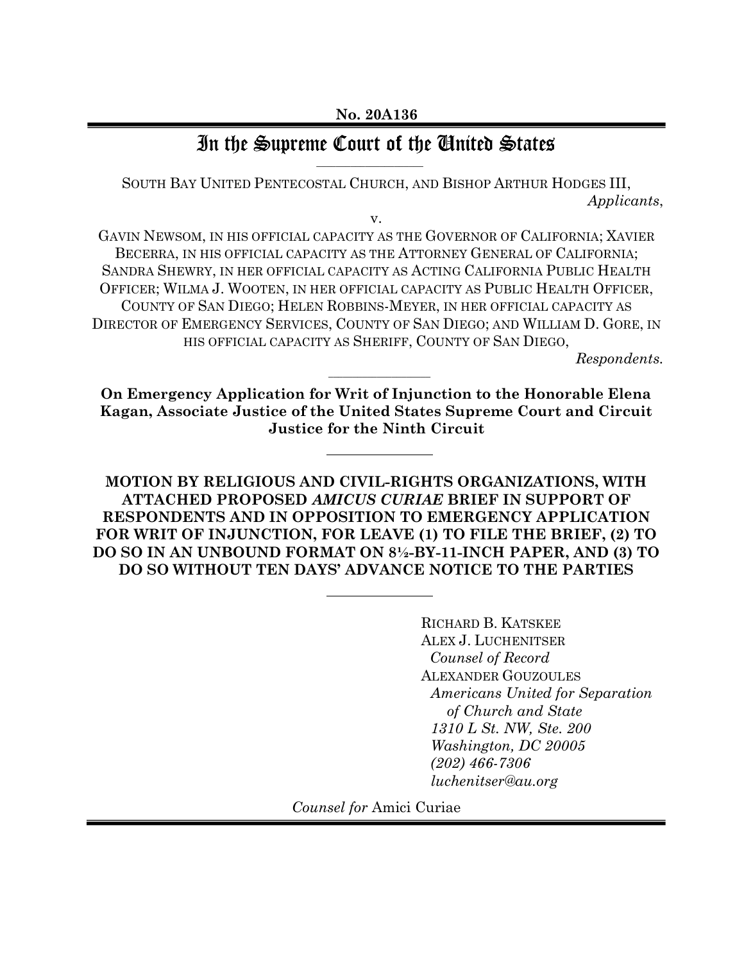### In the Supreme Court of the Ginited States \_\_\_\_\_\_\_\_\_\_\_\_\_\_\_\_\_\_\_\_\_\_

SOUTH BAY UNITED PENTECOSTAL CHURCH, AND BISHOP ARTHUR HODGES III, Applicants,

v.

GAVIN NEWSOM, IN HIS OFFICIAL CAPACITY AS THE GOVERNOR OF CALIFORNIA; XAVIER BECERRA, IN HIS OFFICIAL CAPACITY AS THE ATTORNEY GENERAL OF CALIFORNIA; SANDRA SHEWRY, IN HER OFFICIAL CAPACITY AS ACTING CALIFORNIA PUBLIC HEALTH OFFICER; WILMA J. WOOTEN, IN HER OFFICIAL CAPACITY AS PUBLIC HEALTH OFFICER, COUNTY OF SAN DIEGO; HELEN ROBBINS-MEYER, IN HER OFFICIAL CAPACITY AS DIRECTOR OF EMERGENCY SERVICES, COUNTY OF SAN DIEGO; AND WILLIAM D. GORE, IN HIS OFFICIAL CAPACITY AS SHERIFF, COUNTY OF SAN DIEGO,

Respondents.

On Emergency Application for Writ of Injunction to the Honorable Elena Kagan, Associate Justice of the United States Supreme Court and Circuit Justice for the Ninth Circuit

 $\mathcal{L}=\mathcal{L}=\mathcal{L}=\mathcal{L}=\mathcal{L}=\mathcal{L}=\mathcal{L}=\mathcal{L}=\mathcal{L}=\mathcal{L}=\mathcal{L}=\mathcal{L}=\mathcal{L}=\mathcal{L}=\mathcal{L}=\mathcal{L}=\mathcal{L}=\mathcal{L}=\mathcal{L}=\mathcal{L}=\mathcal{L}=\mathcal{L}=\mathcal{L}=\mathcal{L}=\mathcal{L}=\mathcal{L}=\mathcal{L}=\mathcal{L}=\mathcal{L}=\mathcal{L}=\mathcal{L}=\mathcal{L}=\mathcal{L}=\mathcal{L}=\mathcal{L}=\mathcal{L}=\mathcal{$ 

MOTION BY RELIGIOUS AND CIVIL-RIGHTS ORGANIZATIONS, WITH ATTACHED PROPOSED AMICUS CURIAE BRIEF IN SUPPORT OF RESPONDENTS AND IN OPPOSITION TO EMERGENCY APPLICATION FOR WRIT OF INJUNCTION, FOR LEAVE (1) TO FILE THE BRIEF, (2) TO DO SO IN AN UNBOUND FORMAT ON 8½-BY-11-INCH PAPER, AND (3) TO DO SO WITHOUT TEN DAYS' ADVANCE NOTICE TO THE PARTIES

> RICHARD B. KATSKEE ALEX J. LUCHENITSER Counsel of Record ALEXANDER GOUZOULES Americans United for Separation of Church and State 1310 L St. NW, Ste. 200 Washington, DC 20005 (202) 466-7306 luchenitser@au.org

Counsel for Amici Curiae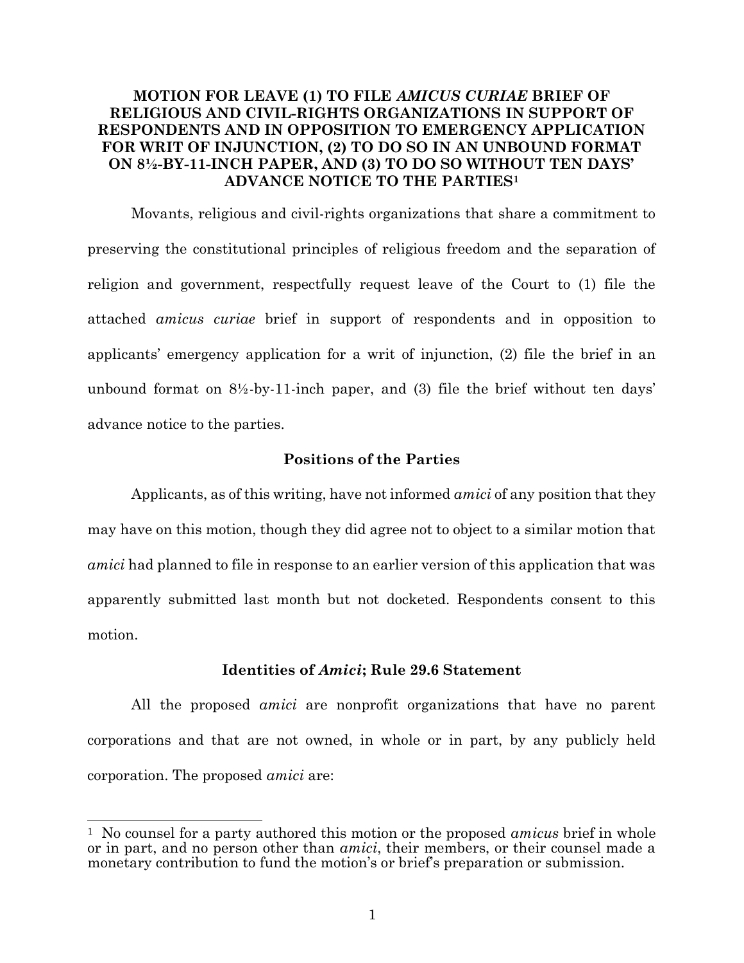### MOTION FOR LEAVE (1) TO FILE AMICUS CURIAE BRIEF OF RELIGIOUS AND CIVIL-RIGHTS ORGANIZATIONS IN SUPPORT OF RESPONDENTS AND IN OPPOSITION TO EMERGENCY APPLICATION FOR WRIT OF INJUNCTION, (2) TO DO SO IN AN UNBOUND FORMAT ON 8½-BY-11-INCH PAPER, AND (3) TO DO SO WITHOUT TEN DAYS' ADVANCE NOTICE TO THE PARTIES<sup>1</sup>

Movants, religious and civil-rights organizations that share a commitment to preserving the constitutional principles of religious freedom and the separation of religion and government, respectfully request leave of the Court to (1) file the attached amicus curiae brief in support of respondents and in opposition to applicants' emergency application for a writ of injunction, (2) file the brief in an unbound format on  $8\frac{1}{2}$ -by-11-inch paper, and (3) file the brief without ten days' advance notice to the parties.

#### Positions of the Parties

Applicants, as of this writing, have not informed *amici* of any position that they may have on this motion, though they did agree not to object to a similar motion that amici had planned to file in response to an earlier version of this application that was apparently submitted last month but not docketed. Respondents consent to this motion.

#### Identities of Amici; Rule 29.6 Statement

All the proposed amici are nonprofit organizations that have no parent corporations and that are not owned, in whole or in part, by any publicly held corporation. The proposed amici are:

<sup>&</sup>lt;sup>1</sup> No counsel for a party authored this motion or the proposed *amicus* brief in whole or in part, and no person other than *amici*, their members, or their counsel made a monetary contribution to fund the motion's or brief's preparation or submission.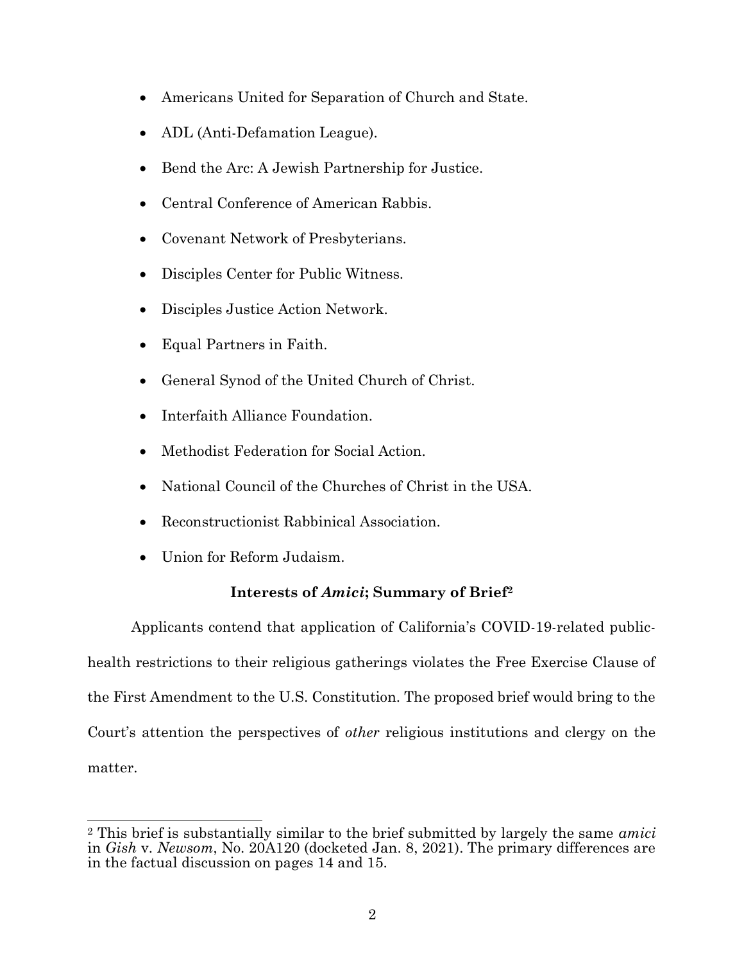- Americans United for Separation of Church and State.
- ADL (Anti-Defamation League).
- Bend the Arc: A Jewish Partnership for Justice.
- Central Conference of American Rabbis.
- Covenant Network of Presbyterians.
- Disciples Center for Public Witness.
- Disciples Justice Action Network.
- Equal Partners in Faith.
- General Synod of the United Church of Christ.
- Interfaith Alliance Foundation.
- Methodist Federation for Social Action.
- National Council of the Churches of Christ in the USA.
- Reconstructionist Rabbinical Association.
- Union for Reform Judaism.

### Interests of Amici; Summary of Brief<sup>2</sup>

Applicants contend that application of California's COVID-19-related publichealth restrictions to their religious gatherings violates the Free Exercise Clause of the First Amendment to the U.S. Constitution. The proposed brief would bring to the Court's attention the perspectives of other religious institutions and clergy on the matter.

<sup>&</sup>lt;sup>2</sup> This brief is substantially similar to the brief submitted by largely the same *amici* in Gish v. Newsom, No. 20A120 (docketed Jan. 8, 2021). The primary differences are in the factual discussion on pages 14 and 15.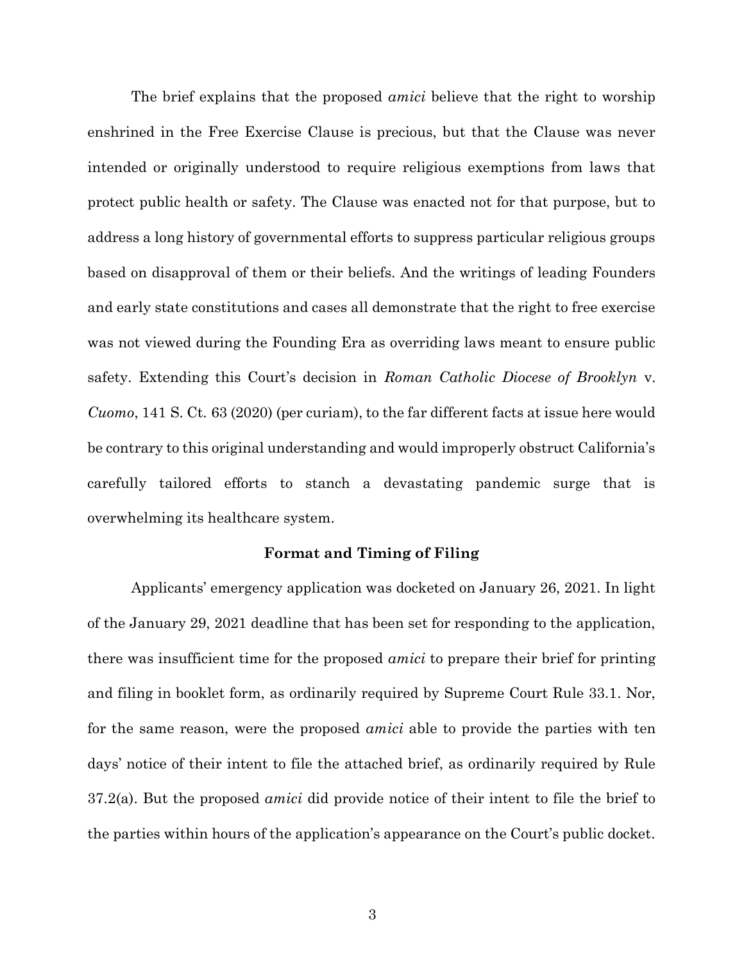The brief explains that the proposed *amici* believe that the right to worship enshrined in the Free Exercise Clause is precious, but that the Clause was never intended or originally understood to require religious exemptions from laws that protect public health or safety. The Clause was enacted not for that purpose, but to address a long history of governmental efforts to suppress particular religious groups based on disapproval of them or their beliefs. And the writings of leading Founders and early state constitutions and cases all demonstrate that the right to free exercise was not viewed during the Founding Era as overriding laws meant to ensure public safety. Extending this Court's decision in Roman Catholic Diocese of Brooklyn v. Cuomo, 141 S. Ct. 63 (2020) (per curiam), to the far different facts at issue here would be contrary to this original understanding and would improperly obstruct California's carefully tailored efforts to stanch a devastating pandemic surge that is overwhelming its healthcare system.

#### Format and Timing of Filing

Applicants' emergency application was docketed on January 26, 2021. In light of the January 29, 2021 deadline that has been set for responding to the application, there was insufficient time for the proposed amici to prepare their brief for printing and filing in booklet form, as ordinarily required by Supreme Court Rule 33.1. Nor, for the same reason, were the proposed amici able to provide the parties with ten days' notice of their intent to file the attached brief, as ordinarily required by Rule  $37.2(a)$ . But the proposed *amici* did provide notice of their intent to file the brief to the parties within hours of the application's appearance on the Court's public docket.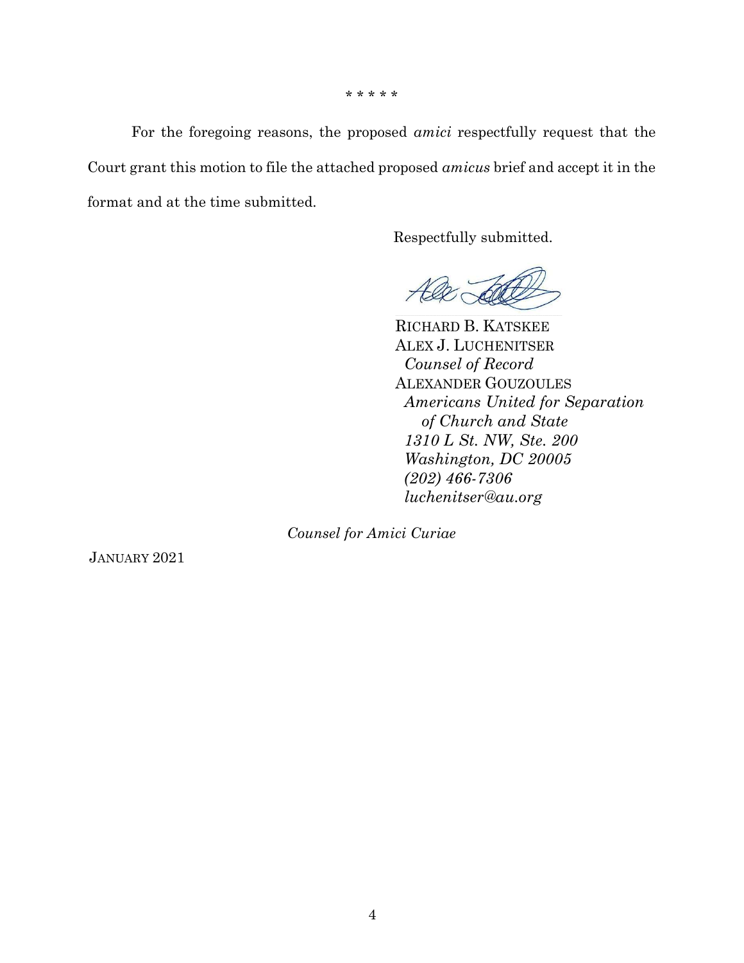\* \* \* \* \*

For the foregoing reasons, the proposed amici respectfully request that the Court grant this motion to file the attached proposed amicus brief and accept it in the format and at the time submitted.

Respectfully submitted.

Court

RICHARD B. KATSKEE ALEX J. LUCHENITSER Counsel of Record ALEXANDER GOUZOULES Americans United for Separation of Church and State 1310 L St. NW, Ste. 200 Washington, DC 20005 (202) 466-7306 luchenitser@au.org

Counsel for Amici Curiae

JANUARY 2021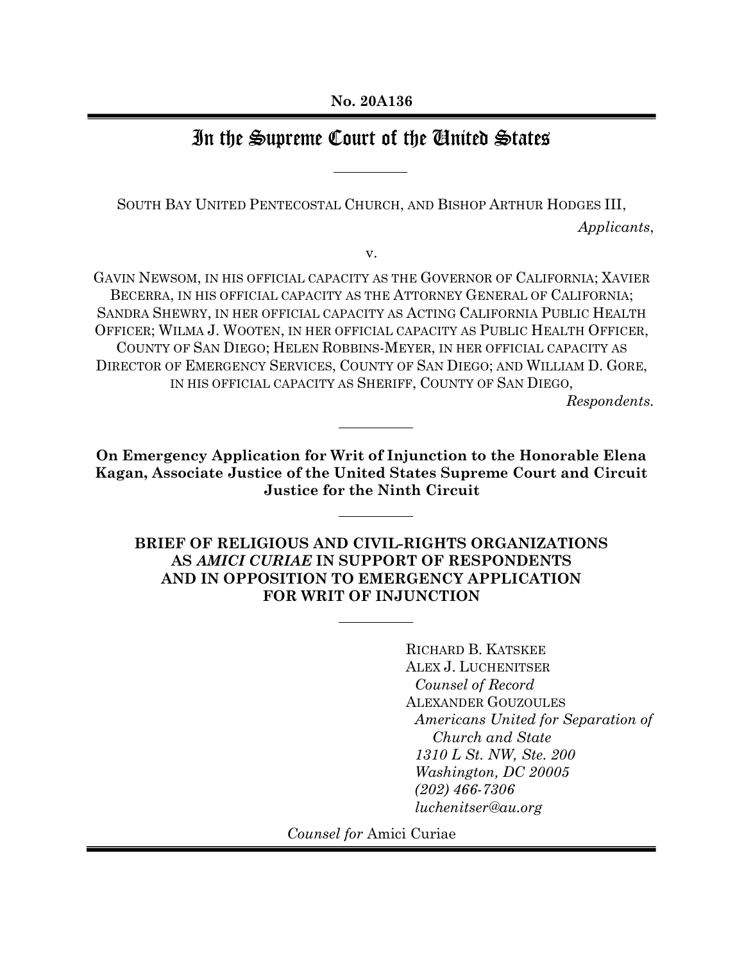# In the Supreme Court of the United States

SOUTH BAY UNITED PENTECOSTAL CHURCH, AND BISHOP ARTHUR HODGES III,

Applicants,

v.

GAVIN NEWSOM, IN HIS OFFICIAL CAPACITY AS THE GOVERNOR OF CALIFORNIA; XAVIER BECERRA, IN HIS OFFICIAL CAPACITY AS THE ATTORNEY GENERAL OF CALIFORNIA; SANDRA SHEWRY, IN HER OFFICIAL CAPACITY AS ACTING CALIFORNIA PUBLIC HEALTH OFFICER; WILMA J. WOOTEN, IN HER OFFICIAL CAPACITY AS PUBLIC HEALTH OFFICER, COUNTY OF SAN DIEGO; HELEN ROBBINS-MEYER, IN HER OFFICIAL CAPACITY AS DIRECTOR OF EMERGENCY SERVICES, COUNTY OF SAN DIEGO; AND WILLIAM D. GORE, IN HIS OFFICIAL CAPACITY AS SHERIFF, COUNTY OF SAN DIEGO,

Respondents.

On Emergency Application for Writ of Injunction to the Honorable Elena Kagan, Associate Justice of the United States Supreme Court and Circuit Justice for the Ninth Circuit

BRIEF OF RELIGIOUS AND CIVIL-RIGHTS ORGANIZATIONS AS AMICI CURIAE IN SUPPORT OF RESPONDENTS AND IN OPPOSITION TO EMERGENCY APPLICATION FOR WRIT OF INJUNCTION

> RICHARD B. KATSKEE ALEX J. LUCHENITSER Counsel of Record ALEXANDER GOUZOULES Americans United for Separation of Church and State 1310 L St. NW, Ste. 200 Washington, DC 20005 (202) 466-7306 luchenitser@au.org

Counsel for Amici Curiae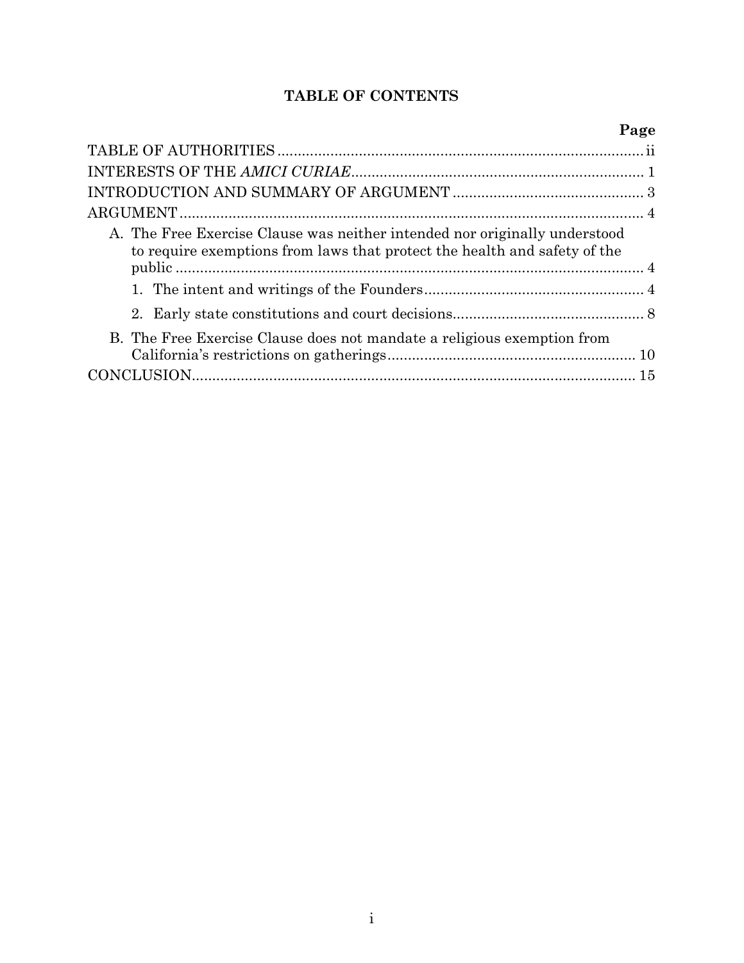### TABLE OF CONTENTS

| Page                                                                                                                                                    |  |
|---------------------------------------------------------------------------------------------------------------------------------------------------------|--|
|                                                                                                                                                         |  |
|                                                                                                                                                         |  |
|                                                                                                                                                         |  |
|                                                                                                                                                         |  |
| A. The Free Exercise Clause was neither intended nor originally understood<br>to require exemptions from laws that protect the health and safety of the |  |
|                                                                                                                                                         |  |
|                                                                                                                                                         |  |
| B. The Free Exercise Clause does not mandate a religious exemption from                                                                                 |  |
|                                                                                                                                                         |  |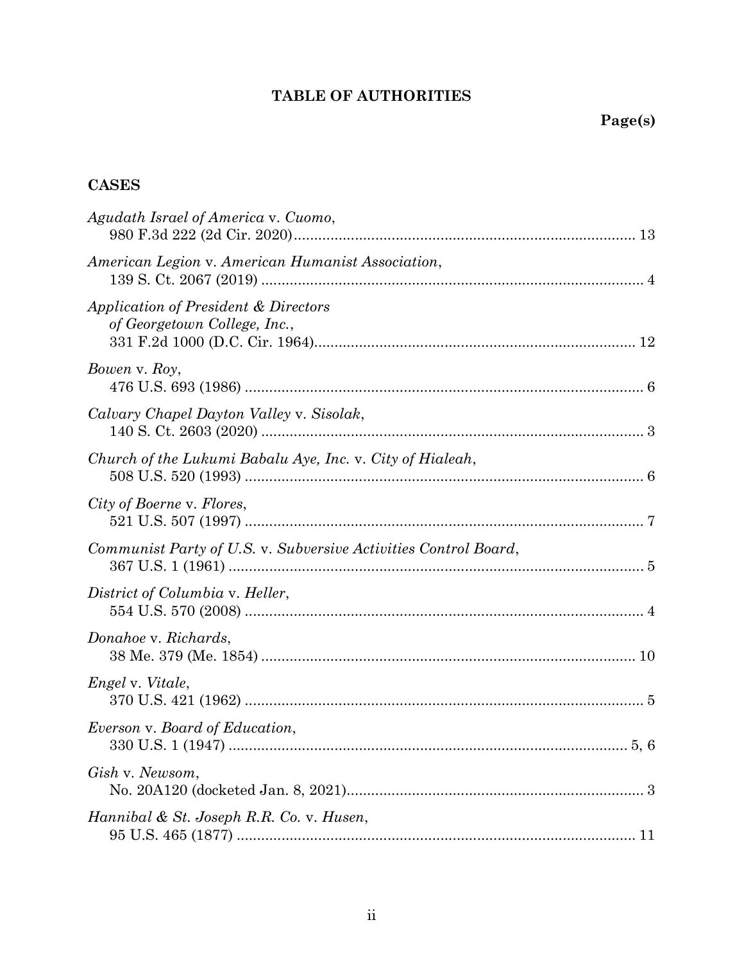# TABLE OF AUTHORITIES

# **CASES**

| Agudath Israel of America v. Cuomo,                                  |
|----------------------------------------------------------------------|
| American Legion v. American Humanist Association,                    |
| Application of President & Directors<br>of Georgetown College, Inc., |
| Bowen v. Roy,                                                        |
| Calvary Chapel Dayton Valley v. Sisolak,                             |
| Church of the Lukumi Babalu Aye, Inc. v. City of Hialeah,            |
| City of Boerne v. Flores,                                            |
| Communist Party of U.S. v. Subversive Activities Control Board,      |
| District of Columbia v. Heller,                                      |
| Donahoe v. Richards,                                                 |
| <i>Engel v. Vitale,</i>                                              |
| Everson v. Board of Education,                                       |
| Gish v. Newsom,                                                      |
| Hannibal & St. Joseph R.R. Co. v. Husen,                             |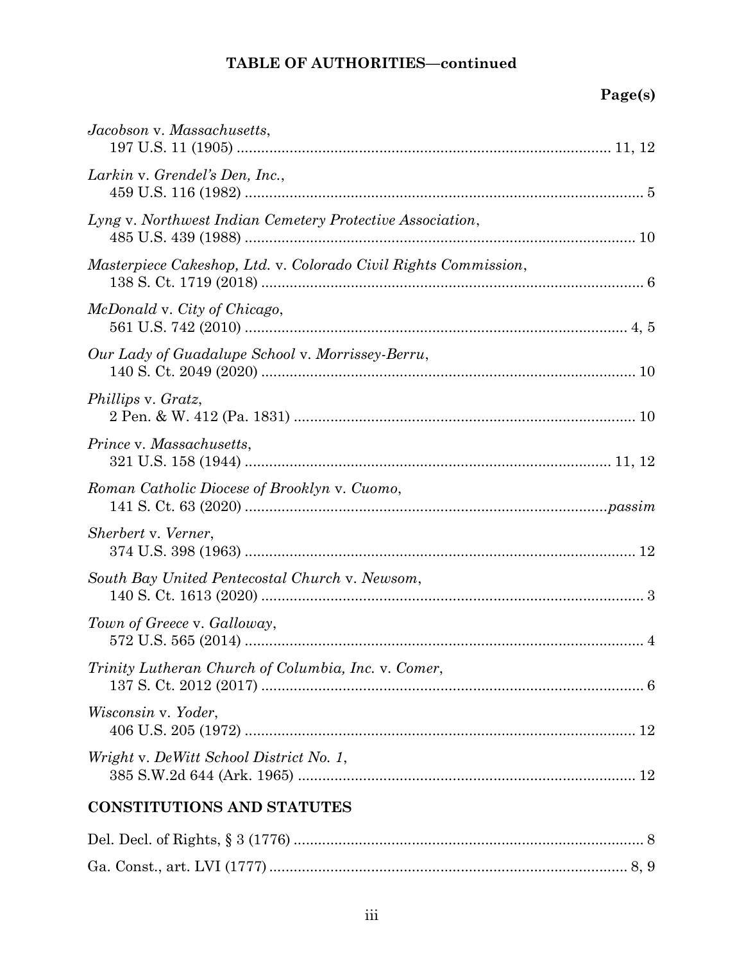# TABLE OF AUTHORITIES—continued

# Page(s)

| Jacobson v. Massachusetts,                                      |
|-----------------------------------------------------------------|
| Larkin v. Grendel's Den, Inc.,                                  |
| Lyng v. Northwest Indian Cemetery Protective Association,       |
| Masterpiece Cakeshop, Ltd. v. Colorado Civil Rights Commission, |
| McDonald v. City of Chicago,                                    |
| Our Lady of Guadalupe School v. Morrissey-Berru,                |
| Phillips v. Gratz,                                              |
| Prince v. Massachusetts,                                        |
| Roman Catholic Diocese of Brooklyn v. Cuomo,                    |
| Sherbert v. Verner,                                             |
| South Bay United Pentecostal Church v. Newsom,                  |
| Town of Greece v. Galloway,                                     |
| Trinity Lutheran Church of Columbia, Inc. v. Comer,             |
| Wisconsin v. Yoder,                                             |
| Wright v. DeWitt School District No. 1,                         |
| <b>CONSTITUTIONS AND STATUTES</b>                               |
| $\overline{1}$ $\overline{0}$ $\overline{0}$ $\overline{1}$     |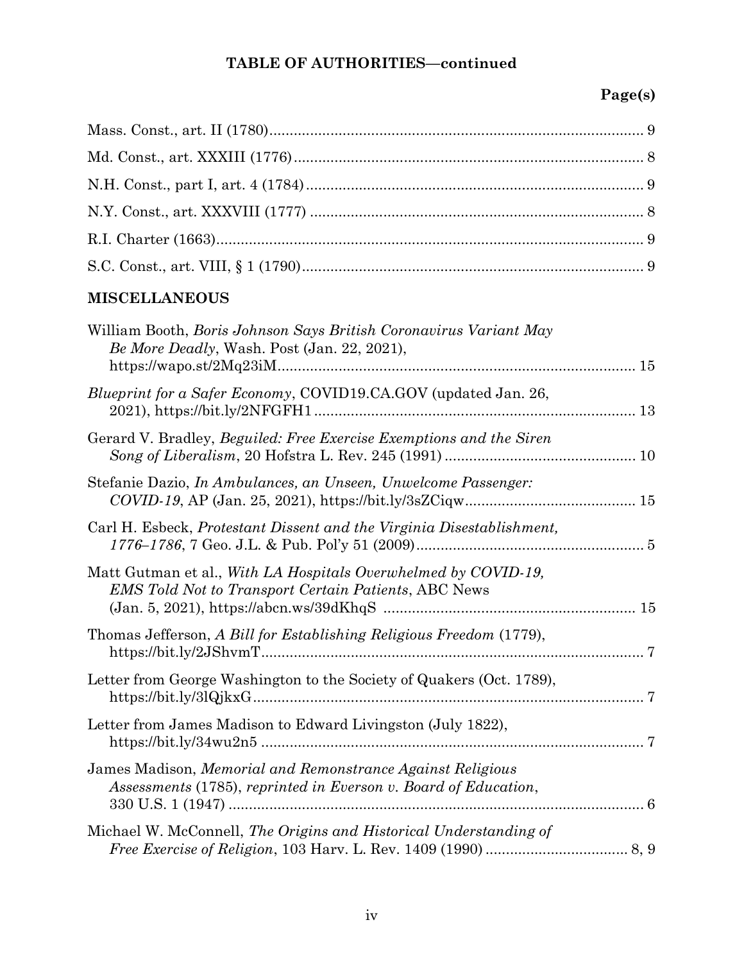# TABLE OF AUTHORITIES—continued

# Page(s)

# MISCELLANEOUS

| William Booth, <i>Boris Johnson Says British Coronavirus Variant May</i><br>Be More Deadly, Wash. Post (Jan. 22, 2021),       |
|-------------------------------------------------------------------------------------------------------------------------------|
| Blueprint for a Safer Economy, COVID19.CA.GOV (updated Jan. 26,                                                               |
| Gerard V. Bradley, <i>Beguiled: Free Exercise Exemptions and the Siren</i>                                                    |
| Stefanie Dazio, In Ambulances, an Unseen, Unwelcome Passenger:                                                                |
| Carl H. Esbeck, Protestant Dissent and the Virginia Disestablishment,                                                         |
| Matt Gutman et al., With LA Hospitals Overwhelmed by COVID-19,<br><b>EMS</b> Told Not to Transport Certain Patients, ABC News |
| Thomas Jefferson, A Bill for Establishing Religious Freedom (1779),                                                           |
| Letter from George Washington to the Society of Quakers (Oct. 1789),<br>$https://bit.ly/3lQjkxG$                              |
| Letter from James Madison to Edward Livingston (July 1822),                                                                   |
| James Madison, Memorial and Remonstrance Against Religious<br>Assessments (1785), reprinted in Everson v. Board of Education, |
| Michael W. McConnell, The Origins and Historical Understanding of                                                             |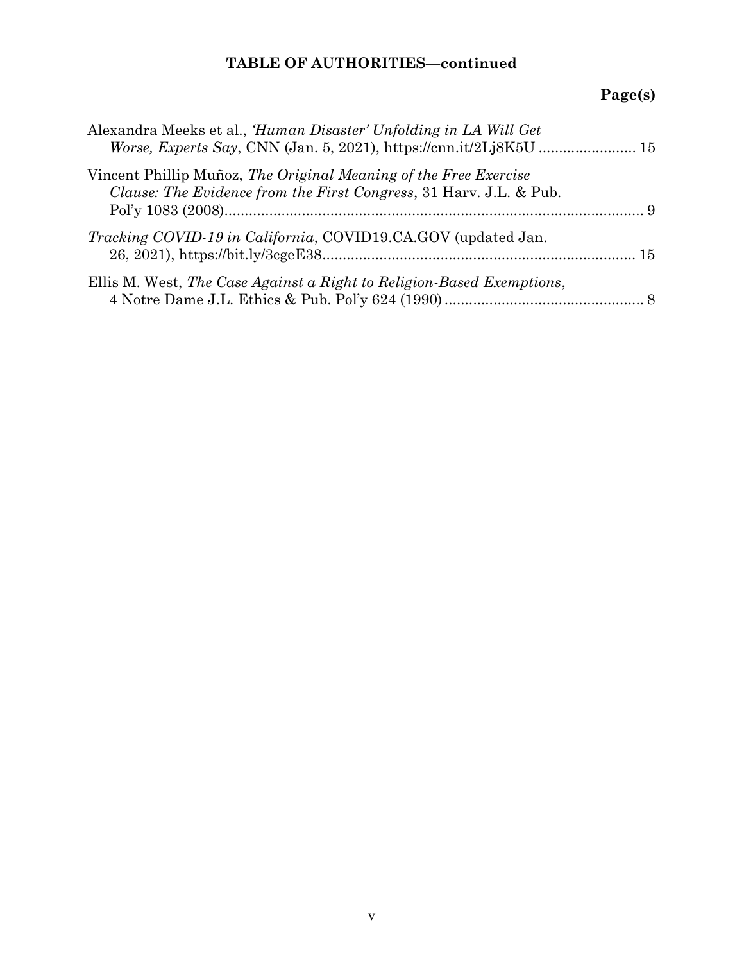# TABLE OF AUTHORITIES—continued

# Page(s)

| Alexandra Meeks et al., 'Human Disaster' Unfolding in LA Will Get                                                                      |  |
|----------------------------------------------------------------------------------------------------------------------------------------|--|
| Vincent Phillip Muñoz, The Original Meaning of the Free Exercise<br>Clause: The Evidence from the First Congress, 31 Harv. J.L. & Pub. |  |
| <i>Tracking COVID-19 in California, COVID19.CA.GOV</i> (updated Jan.                                                                   |  |
| Ellis M. West, The Case Against a Right to Religion-Based Exemptions,                                                                  |  |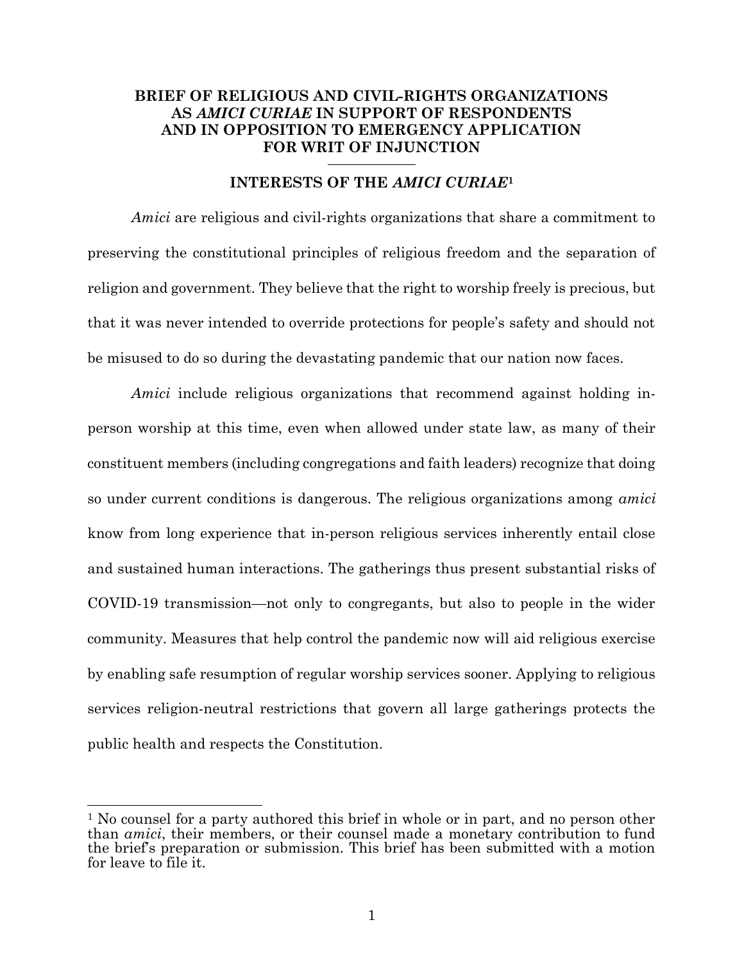### BRIEF OF RELIGIOUS AND CIVIL-RIGHTS ORGANIZATIONS AS AMICI CURIAE IN SUPPORT OF RESPONDENTS AND IN OPPOSITION TO EMERGENCY APPLICATION FOR WRIT OF INJUNCTION

#### INTERESTS OF THE AMICI CURIAE<sup>1</sup>

Amici are religious and civil-rights organizations that share a commitment to preserving the constitutional principles of religious freedom and the separation of religion and government. They believe that the right to worship freely is precious, but that it was never intended to override protections for people's safety and should not be misused to do so during the devastating pandemic that our nation now faces.

Amici include religious organizations that recommend against holding inperson worship at this time, even when allowed under state law, as many of their constituent members (including congregations and faith leaders) recognize that doing so under current conditions is dangerous. The religious organizations among *amici* know from long experience that in-person religious services inherently entail close and sustained human interactions. The gatherings thus present substantial risks of COVID-19 transmission—not only to congregants, but also to people in the wider community. Measures that help control the pandemic now will aid religious exercise by enabling safe resumption of regular worship services sooner. Applying to religious services religion-neutral restrictions that govern all large gatherings protects the public health and respects the Constitution.

<sup>&</sup>lt;sup>1</sup> No counsel for a party authored this brief in whole or in part, and no person other than amici, their members, or their counsel made a monetary contribution to fund the brief's preparation or submission. This brief has been submitted with a motion for leave to file it.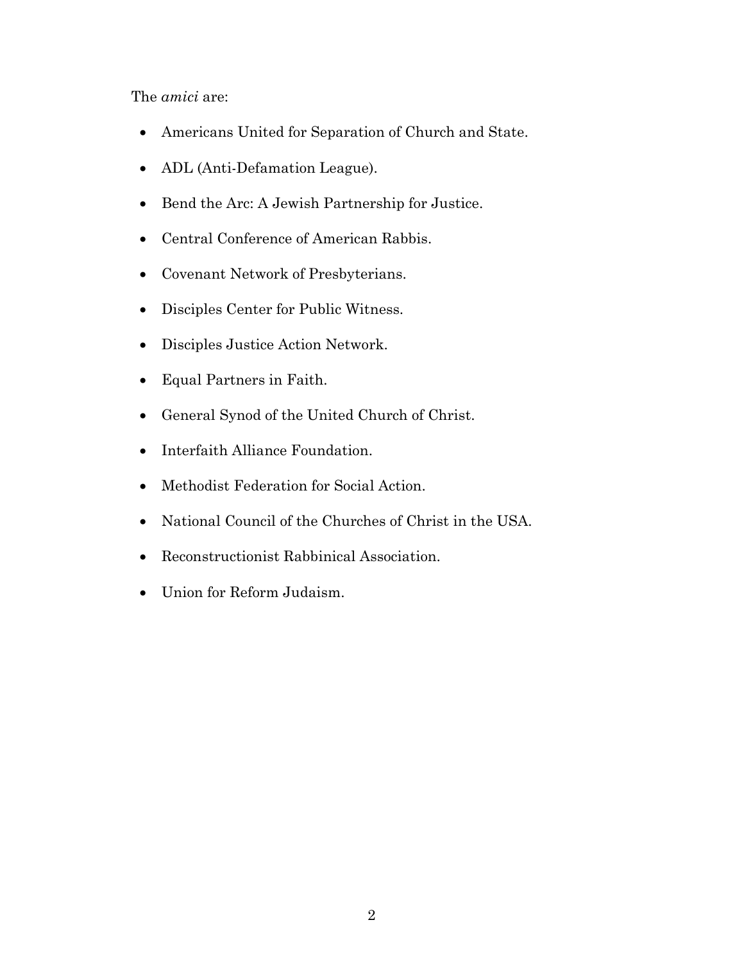The amici are:

- Americans United for Separation of Church and State.
- ADL (Anti-Defamation League).
- Bend the Arc: A Jewish Partnership for Justice.
- Central Conference of American Rabbis.
- Covenant Network of Presbyterians.
- Disciples Center for Public Witness.
- Disciples Justice Action Network.
- Equal Partners in Faith.
- General Synod of the United Church of Christ.
- Interfaith Alliance Foundation.
- Methodist Federation for Social Action.
- National Council of the Churches of Christ in the USA.
- Reconstructionist Rabbinical Association.
- Union for Reform Judaism.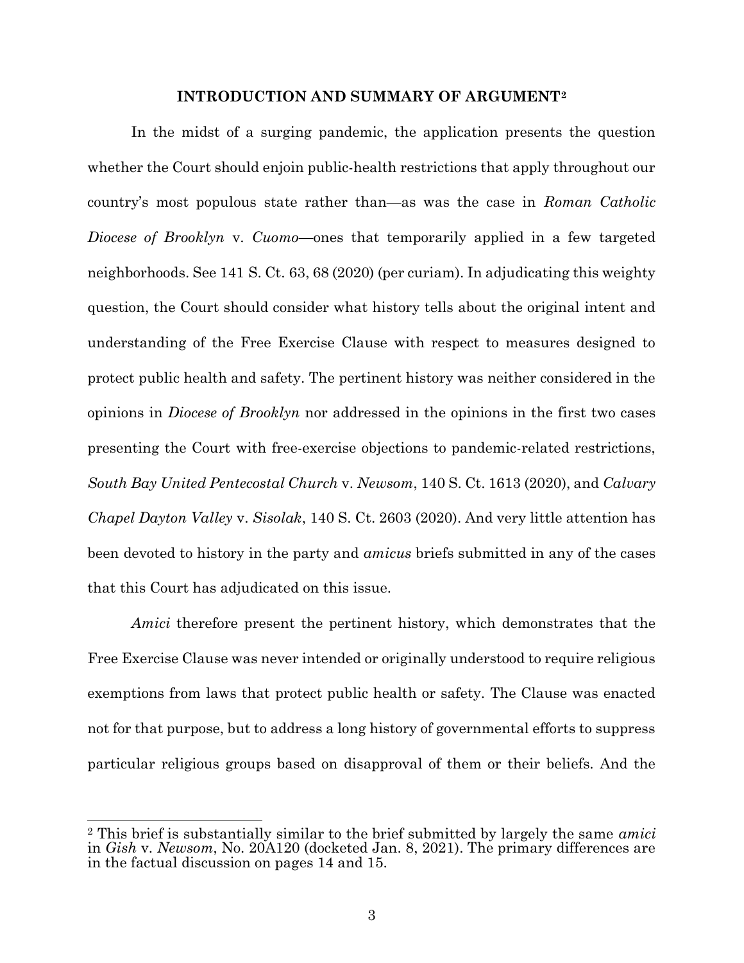#### INTRODUCTION AND SUMMARY OF ARGUMENT<sup>2</sup>

In the midst of a surging pandemic, the application presents the question whether the Court should enjoin public-health restrictions that apply throughout our country's most populous state rather than—as was the case in Roman Catholic Diocese of Brooklyn v. Cuomo—ones that temporarily applied in a few targeted neighborhoods. See 141 S. Ct. 63, 68 (2020) (per curiam). In adjudicating this weighty question, the Court should consider what history tells about the original intent and understanding of the Free Exercise Clause with respect to measures designed to protect public health and safety. The pertinent history was neither considered in the opinions in Diocese of Brooklyn nor addressed in the opinions in the first two cases presenting the Court with free-exercise objections to pandemic-related restrictions, South Bay United Pentecostal Church v. Newsom, 140 S. Ct. 1613 (2020), and Calvary Chapel Dayton Valley v. Sisolak, 140 S. Ct. 2603 (2020). And very little attention has been devoted to history in the party and amicus briefs submitted in any of the cases that this Court has adjudicated on this issue.

Amici therefore present the pertinent history, which demonstrates that the Free Exercise Clause was never intended or originally understood to require religious exemptions from laws that protect public health or safety. The Clause was enacted not for that purpose, but to address a long history of governmental efforts to suppress particular religious groups based on disapproval of them or their beliefs. And the

<sup>&</sup>lt;sup>2</sup> This brief is substantially similar to the brief submitted by largely the same *amici* in Gish v. Newsom, No. 20A120 (docketed Jan. 8, 2021). The primary differences are in the factual discussion on pages 14 and 15.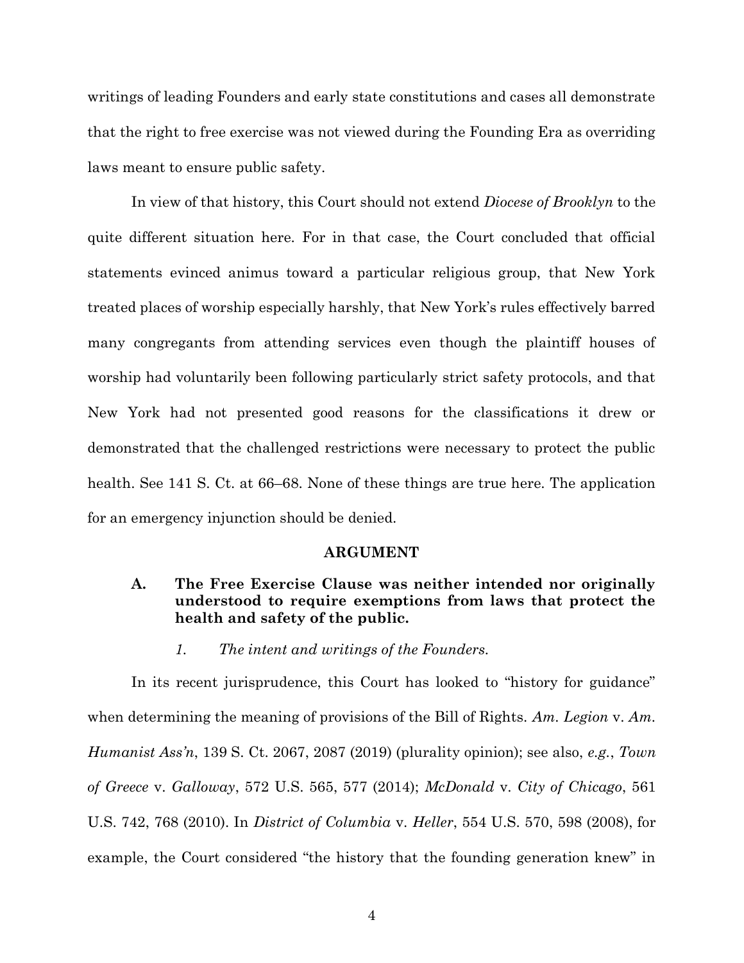writings of leading Founders and early state constitutions and cases all demonstrate that the right to free exercise was not viewed during the Founding Era as overriding laws meant to ensure public safety.

In view of that history, this Court should not extend *Diocese of Brooklyn* to the quite different situation here. For in that case, the Court concluded that official statements evinced animus toward a particular religious group, that New York treated places of worship especially harshly, that New York's rules effectively barred many congregants from attending services even though the plaintiff houses of worship had voluntarily been following particularly strict safety protocols, and that New York had not presented good reasons for the classifications it drew or demonstrated that the challenged restrictions were necessary to protect the public health. See 141 S. Ct. at 66–68. None of these things are true here. The application for an emergency injunction should be denied.

#### ARGUMENT

#### A. The Free Exercise Clause was neither intended nor originally understood to require exemptions from laws that protect the health and safety of the public.

1. The intent and writings of the Founders.

In its recent jurisprudence, this Court has looked to "history for guidance" when determining the meaning of provisions of the Bill of Rights. Am. Legion v. Am. Humanist Ass'n, 139 S. Ct. 2067, 2087 (2019) (plurality opinion); see also, e.g., Town of Greece v. Galloway, 572 U.S. 565, 577 (2014); McDonald v. City of Chicago, 561 U.S. 742, 768 (2010). In District of Columbia v. Heller, 554 U.S. 570, 598 (2008), for example, the Court considered "the history that the founding generation knew" in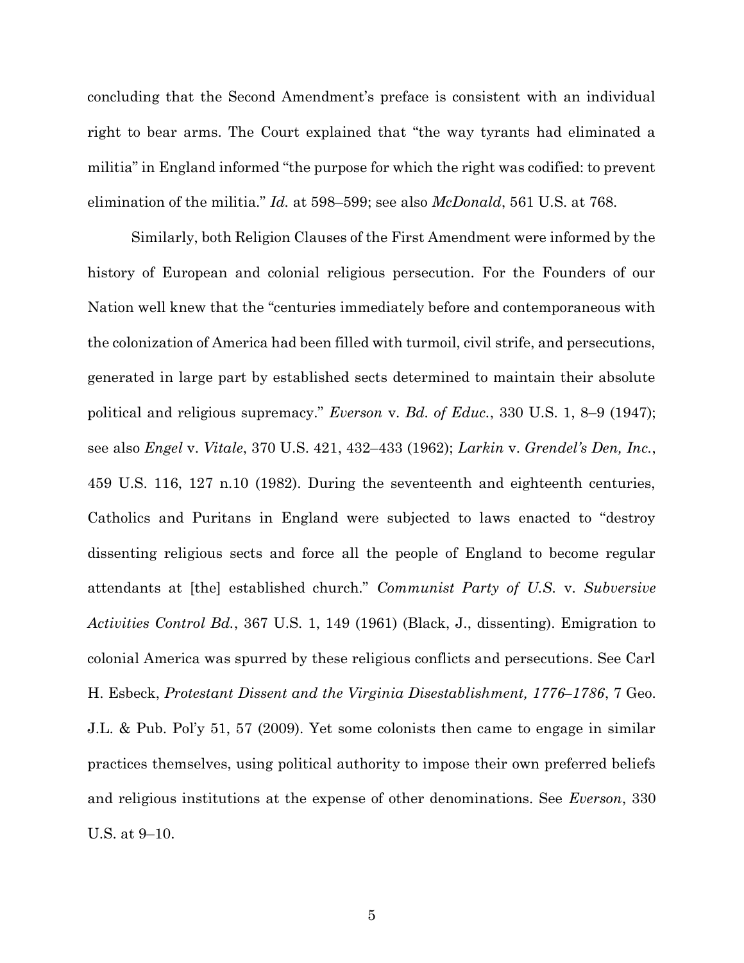concluding that the Second Amendment's preface is consistent with an individual right to bear arms. The Court explained that "the way tyrants had eliminated a militia" in England informed "the purpose for which the right was codified: to prevent elimination of the militia." Id. at 598–599; see also McDonald, 561 U.S. at 768.

Similarly, both Religion Clauses of the First Amendment were informed by the history of European and colonial religious persecution. For the Founders of our Nation well knew that the "centuries immediately before and contemporaneous with the colonization of America had been filled with turmoil, civil strife, and persecutions, generated in large part by established sects determined to maintain their absolute political and religious supremacy." Everson v. Bd. of Educ., 330 U.S. 1, 8–9 (1947); see also Engel v. Vitale, 370 U.S. 421, 432–433 (1962); Larkin v. Grendel's Den, Inc., 459 U.S. 116, 127 n.10 (1982). During the seventeenth and eighteenth centuries, Catholics and Puritans in England were subjected to laws enacted to "destroy dissenting religious sects and force all the people of England to become regular attendants at [the] established church." Communist Party of U.S. v. Subversive Activities Control Bd., 367 U.S. 1, 149 (1961) (Black, J., dissenting). Emigration to colonial America was spurred by these religious conflicts and persecutions. See Carl H. Esbeck, Protestant Dissent and the Virginia Disestablishment, 1776–1786, 7 Geo. J.L. & Pub. Pol'y 51, 57 (2009). Yet some colonists then came to engage in similar practices themselves, using political authority to impose their own preferred beliefs and religious institutions at the expense of other denominations. See Everson, 330 U.S. at 9–10.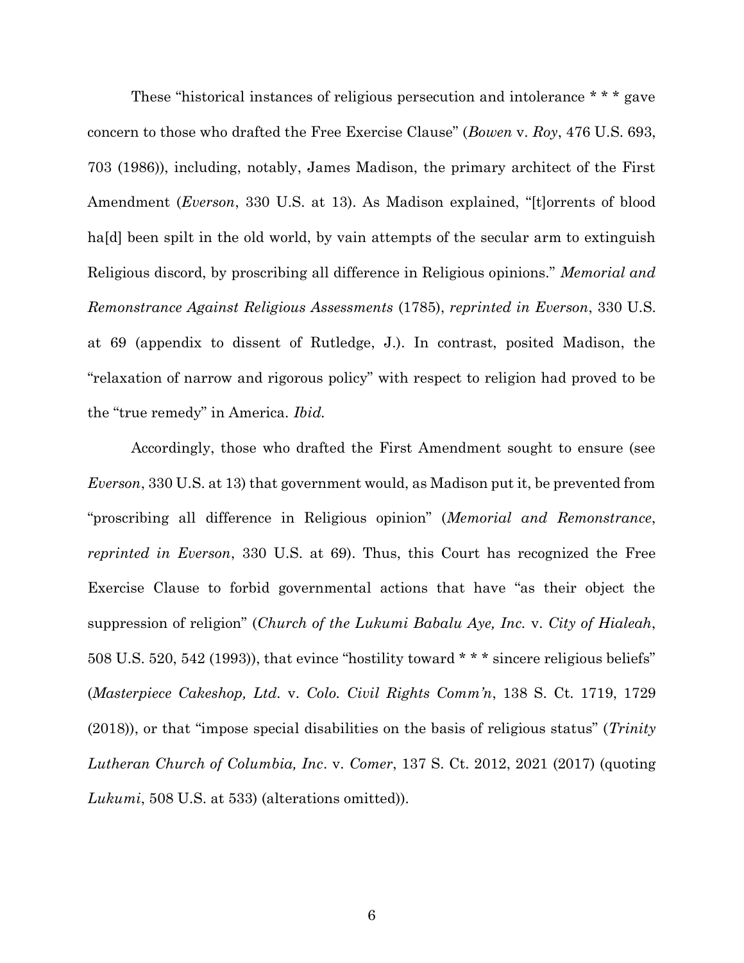These "historical instances of religious persecution and intolerance \* \* \* gave concern to those who drafted the Free Exercise Clause" (Bowen v. Roy, 476 U.S. 693, 703 (1986)), including, notably, James Madison, the primary architect of the First Amendment (Everson, 330 U.S. at 13). As Madison explained, "[t]orrents of blood ha<sup>[d]</sup> been spilt in the old world, by vain attempts of the secular arm to extinguish Religious discord, by proscribing all difference in Religious opinions." *Memorial and* Remonstrance Against Religious Assessments (1785), reprinted in Everson, 330 U.S. at 69 (appendix to dissent of Rutledge, J.). In contrast, posited Madison, the "relaxation of narrow and rigorous policy" with respect to religion had proved to be the "true remedy" in America. Ibid.

Accordingly, those who drafted the First Amendment sought to ensure (see Everson, 330 U.S. at 13) that government would, as Madison put it, be prevented from "proscribing all difference in Religious opinion" (Memorial and Remonstrance, reprinted in Everson, 330 U.S. at 69). Thus, this Court has recognized the Free Exercise Clause to forbid governmental actions that have "as their object the suppression of religion" (Church of the Lukumi Babalu Aye, Inc. v. City of Hialeah, 508 U.S. 520, 542 (1993)), that evince "hostility toward \* \* \* sincere religious beliefs" (Masterpiece Cakeshop, Ltd. v. Colo. Civil Rights Comm'n, 138 S. Ct. 1719, 1729  $(2018)$ ), or that "impose special disabilities on the basis of religious status" (*Trinity* Lutheran Church of Columbia, Inc. v. Comer, 137 S. Ct. 2012, 2021 (2017) (quoting Lukumi, 508 U.S. at 533) (alterations omitted)).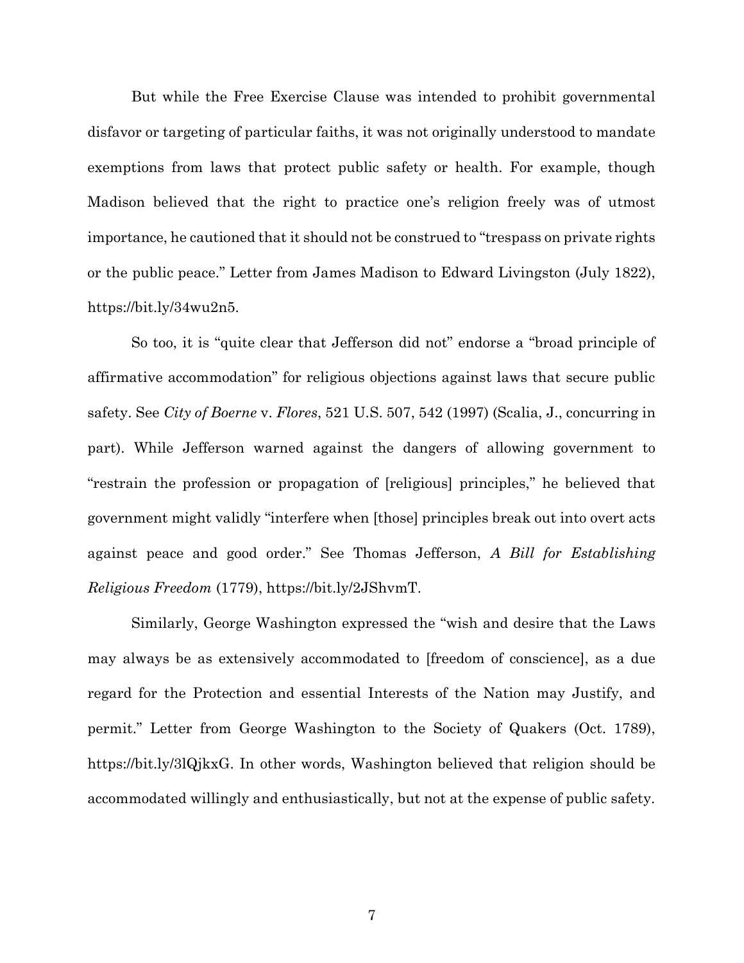But while the Free Exercise Clause was intended to prohibit governmental disfavor or targeting of particular faiths, it was not originally understood to mandate exemptions from laws that protect public safety or health. For example, though Madison believed that the right to practice one's religion freely was of utmost importance, he cautioned that it should not be construed to "trespass on private rights or the public peace." Letter from James Madison to Edward Livingston (July 1822), https://bit.ly/34wu2n5.

So too, it is "quite clear that Jefferson did not" endorse a "broad principle of affirmative accommodation" for religious objections against laws that secure public safety. See City of Boerne v. Flores, 521 U.S. 507, 542 (1997) (Scalia, J., concurring in part). While Jefferson warned against the dangers of allowing government to "restrain the profession or propagation of [religious] principles," he believed that government might validly "interfere when [those] principles break out into overt acts against peace and good order." See Thomas Jefferson, A Bill for Establishing Religious Freedom (1779), https://bit.ly/2JShvmT.

Similarly, George Washington expressed the "wish and desire that the Laws may always be as extensively accommodated to [freedom of conscience], as a due regard for the Protection and essential Interests of the Nation may Justify, and permit." Letter from George Washington to the Society of Quakers (Oct. 1789), https://bit.ly/3lQjkxG. In other words, Washington believed that religion should be accommodated willingly and enthusiastically, but not at the expense of public safety.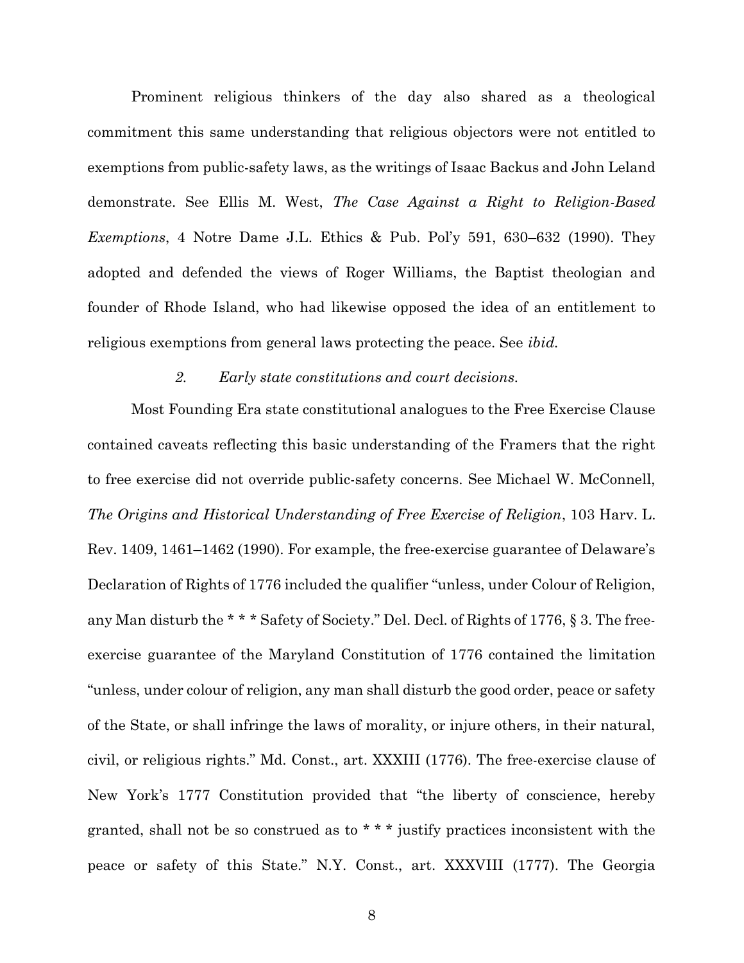Prominent religious thinkers of the day also shared as a theological commitment this same understanding that religious objectors were not entitled to exemptions from public-safety laws, as the writings of Isaac Backus and John Leland demonstrate. See Ellis M. West, The Case Against a Right to Religion-Based Exemptions, 4 Notre Dame J.L. Ethics & Pub. Pol'y 591, 630–632 (1990). They adopted and defended the views of Roger Williams, the Baptist theologian and founder of Rhode Island, who had likewise opposed the idea of an entitlement to religious exemptions from general laws protecting the peace. See ibid.

#### 2. Early state constitutions and court decisions.

Most Founding Era state constitutional analogues to the Free Exercise Clause contained caveats reflecting this basic understanding of the Framers that the right to free exercise did not override public-safety concerns. See Michael W. McConnell, The Origins and Historical Understanding of Free Exercise of Religion, 103 Harv. L. Rev. 1409, 1461–1462 (1990). For example, the free-exercise guarantee of Delaware's Declaration of Rights of 1776 included the qualifier "unless, under Colour of Religion, any Man disturb the \* \* \* Safety of Society." Del. Decl. of Rights of 1776, § 3. The freeexercise guarantee of the Maryland Constitution of 1776 contained the limitation "unless, under colour of religion, any man shall disturb the good order, peace or safety of the State, or shall infringe the laws of morality, or injure others, in their natural, civil, or religious rights." Md. Const., art. XXXIII (1776). The free-exercise clause of New York's 1777 Constitution provided that "the liberty of conscience, hereby granted, shall not be so construed as to \* \* \* justify practices inconsistent with the peace or safety of this State." N.Y. Const., art. XXXVIII (1777). The Georgia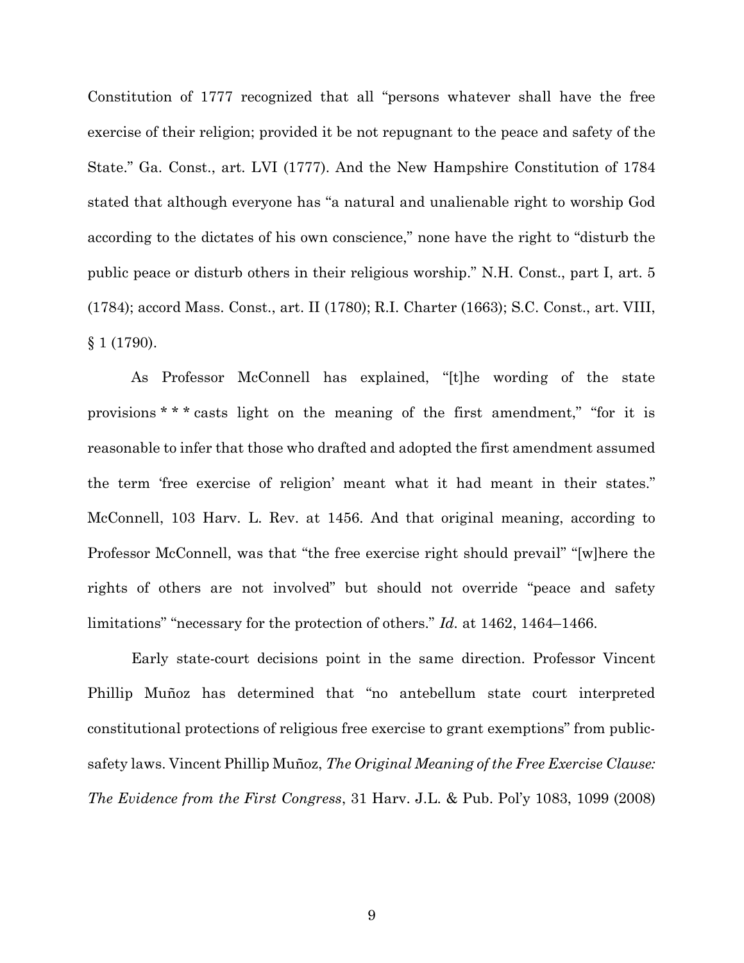Constitution of 1777 recognized that all "persons whatever shall have the free exercise of their religion; provided it be not repugnant to the peace and safety of the State." Ga. Const., art. LVI (1777). And the New Hampshire Constitution of 1784 stated that although everyone has "a natural and unalienable right to worship God according to the dictates of his own conscience," none have the right to "disturb the public peace or disturb others in their religious worship." N.H. Const., part I, art. 5 (1784); accord Mass. Const., art. II (1780); R.I. Charter (1663); S.C. Const., art. VIII, § 1 (1790).

As Professor McConnell has explained, "[t]he wording of the state provisions \* \* \* casts light on the meaning of the first amendment," "for it is reasonable to infer that those who drafted and adopted the first amendment assumed the term 'free exercise of religion' meant what it had meant in their states." McConnell, 103 Harv. L. Rev. at 1456. And that original meaning, according to Professor McConnell, was that "the free exercise right should prevail" "[w]here the rights of others are not involved" but should not override "peace and safety limitations" "necessary for the protection of others." Id. at 1462, 1464–1466.

Early state-court decisions point in the same direction. Professor Vincent Phillip Muñoz has determined that "no antebellum state court interpreted constitutional protections of religious free exercise to grant exemptions" from publicsafety laws. Vincent Phillip Muñoz, The Original Meaning of the Free Exercise Clause: The Evidence from the First Congress, 31 Harv. J.L. & Pub. Pol'y 1083, 1099 (2008)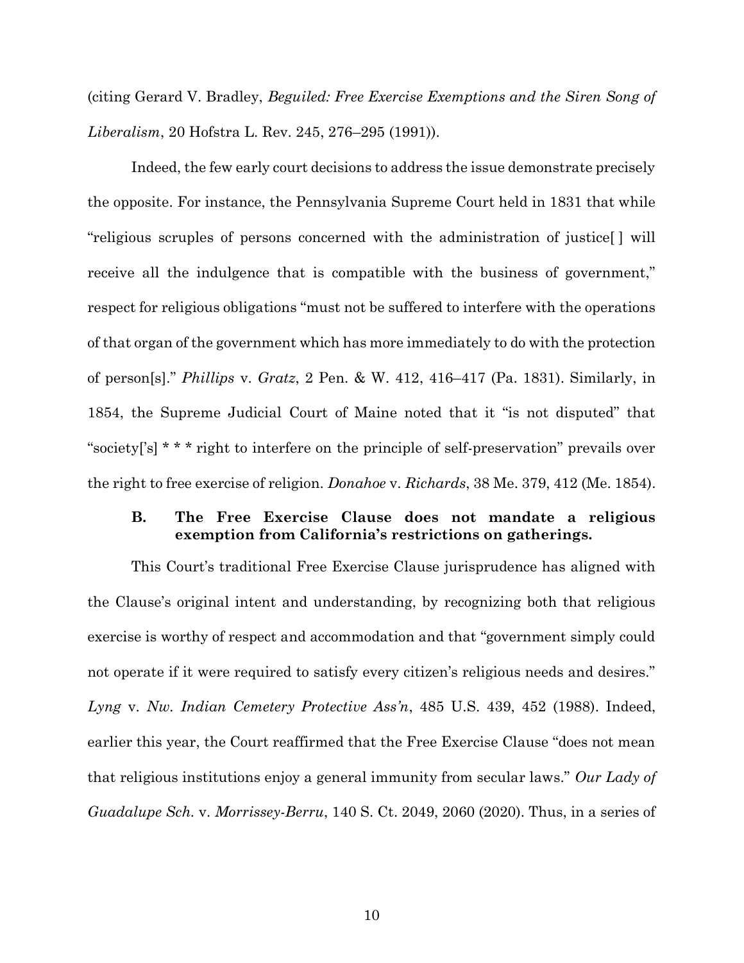(citing Gerard V. Bradley, Beguiled: Free Exercise Exemptions and the Siren Song of Liberalism, 20 Hofstra L. Rev. 245, 276–295 (1991)).

Indeed, the few early court decisions to address the issue demonstrate precisely the opposite. For instance, the Pennsylvania Supreme Court held in 1831 that while "religious scruples of persons concerned with the administration of justice[ ] will receive all the indulgence that is compatible with the business of government," respect for religious obligations "must not be suffered to interfere with the operations of that organ of the government which has more immediately to do with the protection of person[s]." Phillips v. Gratz, 2 Pen. & W. 412, 416–417 (Pa. 1831). Similarly, in 1854, the Supreme Judicial Court of Maine noted that it "is not disputed" that "society['s] \* \* \* right to interfere on the principle of self-preservation" prevails over the right to free exercise of religion. Donahoe v. Richards, 38 Me. 379, 412 (Me. 1854).

#### B. The Free Exercise Clause does not mandate a religious exemption from California's restrictions on gatherings.

This Court's traditional Free Exercise Clause jurisprudence has aligned with the Clause's original intent and understanding, by recognizing both that religious exercise is worthy of respect and accommodation and that "government simply could not operate if it were required to satisfy every citizen's religious needs and desires." Lyng v. Nw. Indian Cemetery Protective Ass'n, 485 U.S. 439, 452 (1988). Indeed, earlier this year, the Court reaffirmed that the Free Exercise Clause "does not mean that religious institutions enjoy a general immunity from secular laws." Our Lady of Guadalupe Sch. v. Morrissey-Berru, 140 S. Ct. 2049, 2060 (2020). Thus, in a series of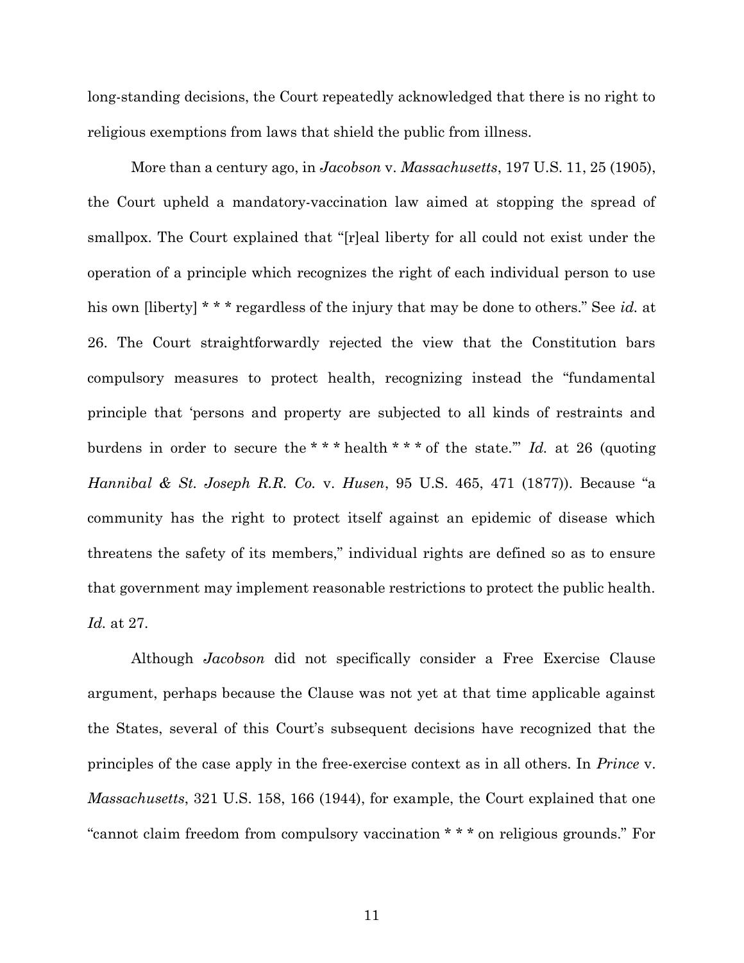long-standing decisions, the Court repeatedly acknowledged that there is no right to religious exemptions from laws that shield the public from illness.

More than a century ago, in Jacobson v. Massachusetts, 197 U.S. 11, 25 (1905), the Court upheld a mandatory-vaccination law aimed at stopping the spread of smallpox. The Court explained that "[r]eal liberty for all could not exist under the operation of a principle which recognizes the right of each individual person to use his own [liberty] \* \* \* regardless of the injury that may be done to others." See id. at 26. The Court straightforwardly rejected the view that the Constitution bars compulsory measures to protect health, recognizing instead the "fundamental principle that 'persons and property are subjected to all kinds of restraints and burdens in order to secure the \*\*\* health \*\*\* of the state." Id. at 26 (quoting Hannibal & St. Joseph R.R. Co. v. Husen, 95 U.S. 465, 471 (1877)). Because "a community has the right to protect itself against an epidemic of disease which threatens the safety of its members," individual rights are defined so as to ensure that government may implement reasonable restrictions to protect the public health. Id. at 27.

Although Jacobson did not specifically consider a Free Exercise Clause argument, perhaps because the Clause was not yet at that time applicable against the States, several of this Court's subsequent decisions have recognized that the principles of the case apply in the free-exercise context as in all others. In Prince v. Massachusetts, 321 U.S. 158, 166 (1944), for example, the Court explained that one "cannot claim freedom from compulsory vaccination \* \* \* on religious grounds." For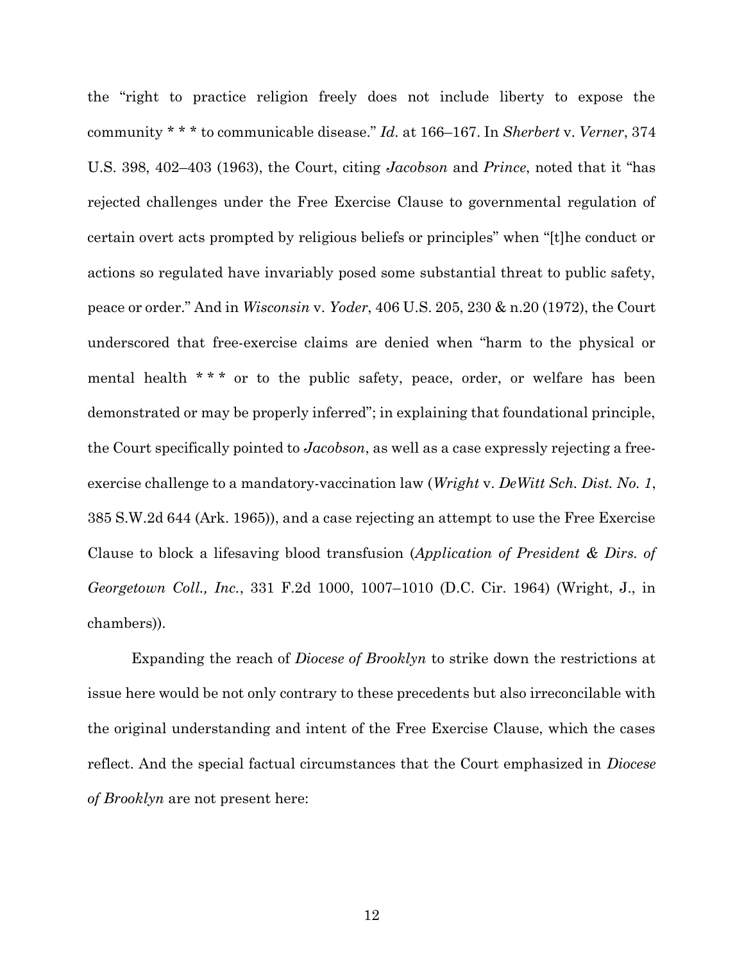the "right to practice religion freely does not include liberty to expose the community \* \* \* to communicable disease." Id. at 166–167. In Sherbert v. Verner, 374 U.S. 398, 402–403 (1963), the Court, citing Jacobson and Prince, noted that it "has rejected challenges under the Free Exercise Clause to governmental regulation of certain overt acts prompted by religious beliefs or principles" when "[t]he conduct or actions so regulated have invariably posed some substantial threat to public safety, peace or order." And in Wisconsin v. Yoder, 406 U.S. 205, 230 & n.20 (1972), the Court underscored that free-exercise claims are denied when "harm to the physical or mental health \* \* \* or to the public safety, peace, order, or welfare has been demonstrated or may be properly inferred"; in explaining that foundational principle, the Court specifically pointed to Jacobson, as well as a case expressly rejecting a freeexercise challenge to a mandatory-vaccination law (Wright v. DeWitt Sch. Dist. No. 1, 385 S.W.2d 644 (Ark. 1965)), and a case rejecting an attempt to use the Free Exercise Clause to block a lifesaving blood transfusion (Application of President & Dirs. of Georgetown Coll., Inc., 331 F.2d 1000, 1007–1010 (D.C. Cir. 1964) (Wright, J., in chambers)).

Expanding the reach of Diocese of Brooklyn to strike down the restrictions at issue here would be not only contrary to these precedents but also irreconcilable with the original understanding and intent of the Free Exercise Clause, which the cases reflect. And the special factual circumstances that the Court emphasized in Diocese of Brooklyn are not present here: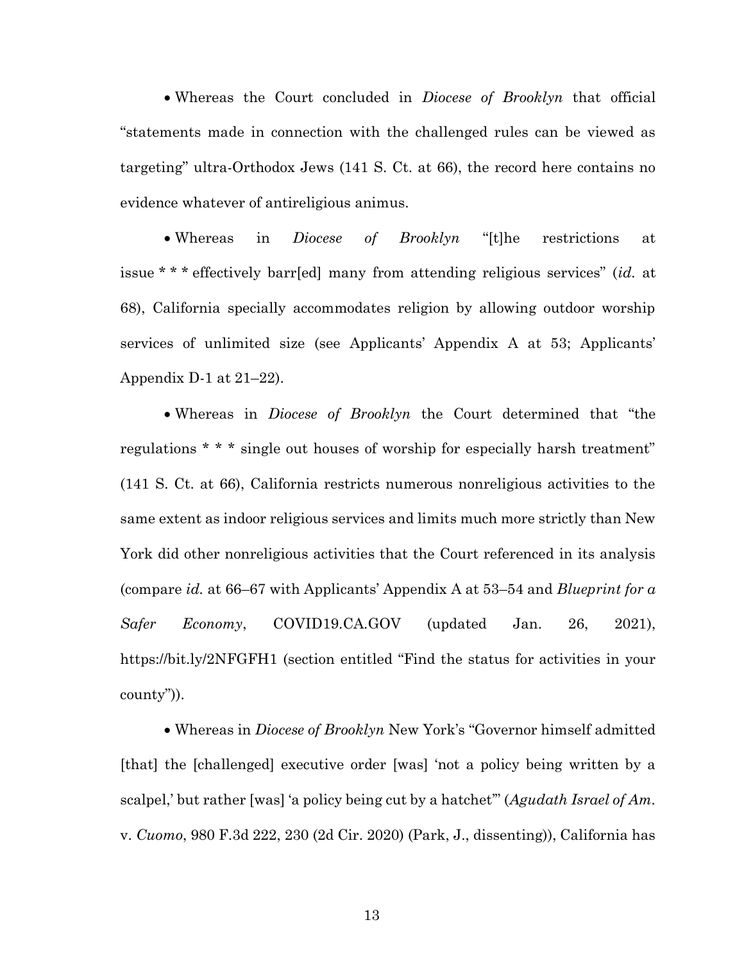• Whereas the Court concluded in *Diocese of Brooklyn* that official "statements made in connection with the challenged rules can be viewed as targeting" ultra-Orthodox Jews (141 S. Ct. at 66), the record here contains no evidence whatever of antireligious animus.

• Whereas in *Diocese of Brooklyn* "[t]he restrictions at issue \* \* \* effectively barr[ed] many from attending religious services" (id. at 68), California specially accommodates religion by allowing outdoor worship services of unlimited size (see Applicants' Appendix A at 53; Applicants' Appendix D-1 at 21–22).

• Whereas in *Diocese of Brooklyn* the Court determined that "the regulations \* \* \* single out houses of worship for especially harsh treatment" (141 S. Ct. at 66), California restricts numerous nonreligious activities to the same extent as indoor religious services and limits much more strictly than New York did other nonreligious activities that the Court referenced in its analysis (compare id. at 66–67 with Applicants' Appendix A at 53–54 and Blueprint for  $\alpha$ Safer Economy, COVID19.CA.GOV (updated Jan. 26, 2021), https://bit.ly/2NFGFH1 (section entitled "Find the status for activities in your county")).

 Whereas in Diocese of Brooklyn New York's "Governor himself admitted [that] the [challenged] executive order [was] 'not a policy being written by a scalpel,' but rather [was] 'a policy being cut by a hatchet" (Agudath Israel of Am. v. Cuomo, 980 F.3d 222, 230 (2d Cir. 2020) (Park, J., dissenting)), California has

13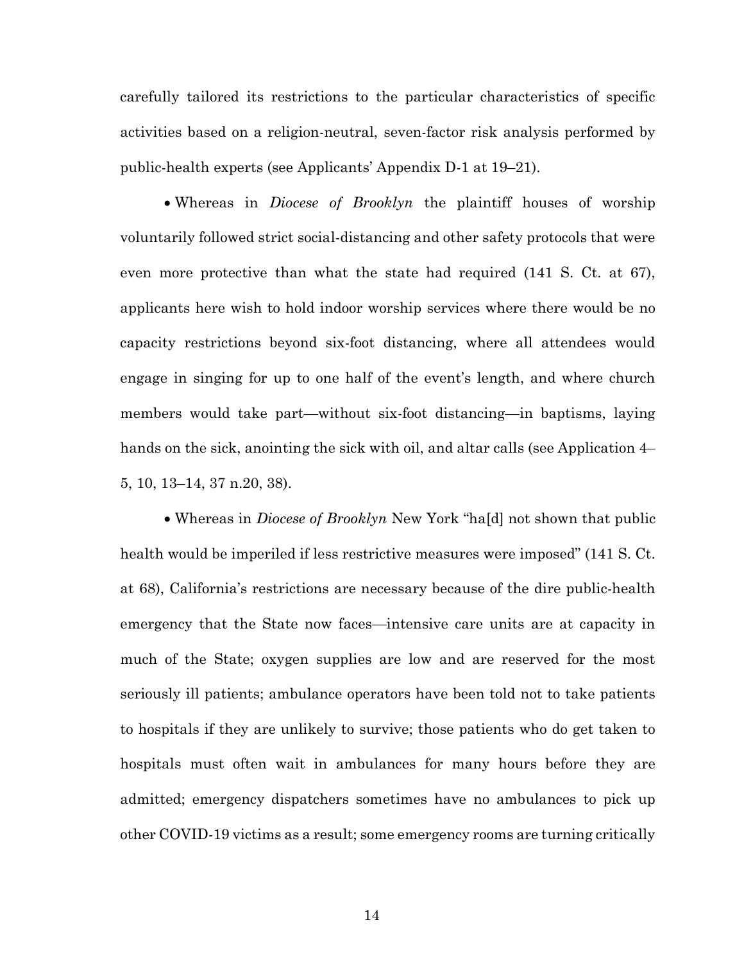carefully tailored its restrictions to the particular characteristics of specific activities based on a religion-neutral, seven-factor risk analysis performed by public-health experts (see Applicants' Appendix D-1 at 19–21).

• Whereas in *Diocese of Brooklyn* the plaintiff houses of worship voluntarily followed strict social-distancing and other safety protocols that were even more protective than what the state had required (141 S. Ct. at 67), applicants here wish to hold indoor worship services where there would be no capacity restrictions beyond six-foot distancing, where all attendees would engage in singing for up to one half of the event's length, and where church members would take part—without six-foot distancing—in baptisms, laying hands on the sick, anointing the sick with oil, and altar calls (see Application 4– 5, 10, 13–14, 37 n.20, 38).

 Whereas in Diocese of Brooklyn New York "ha[d] not shown that public health would be imperiled if less restrictive measures were imposed" (141 S. Ct. at 68), California's restrictions are necessary because of the dire public-health emergency that the State now faces—intensive care units are at capacity in much of the State; oxygen supplies are low and are reserved for the most seriously ill patients; ambulance operators have been told not to take patients to hospitals if they are unlikely to survive; those patients who do get taken to hospitals must often wait in ambulances for many hours before they are admitted; emergency dispatchers sometimes have no ambulances to pick up other COVID-19 victims as a result; some emergency rooms are turning critically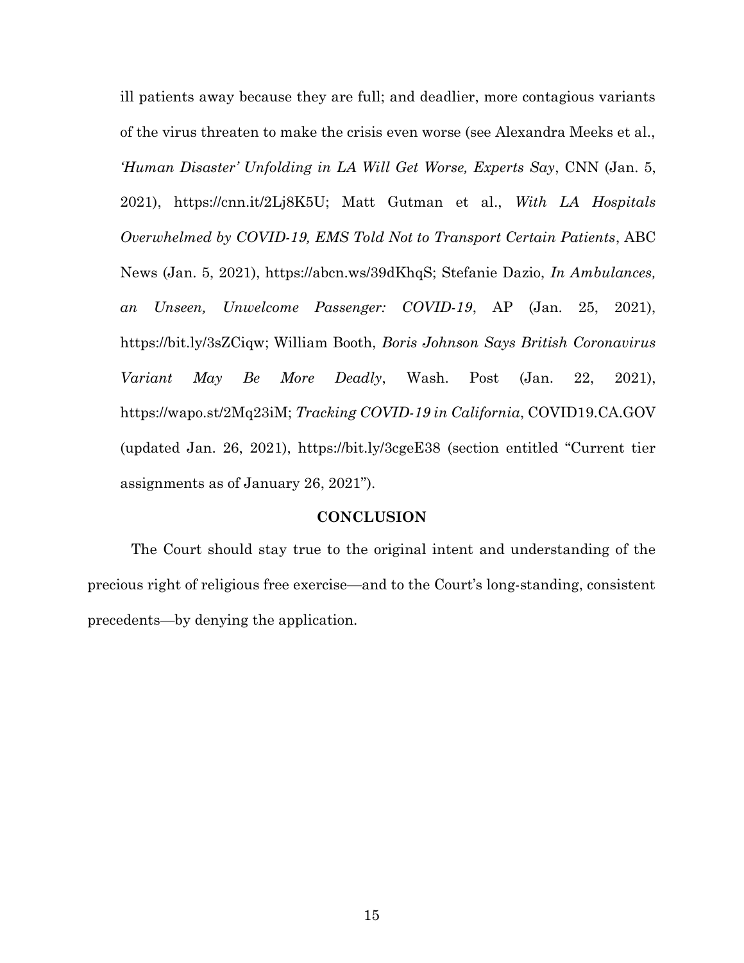ill patients away because they are full; and deadlier, more contagious variants of the virus threaten to make the crisis even worse (see Alexandra Meeks et al., 'Human Disaster' Unfolding in LA Will Get Worse, Experts Say, CNN (Jan. 5, 2021), https://cnn.it/2Lj8K5U; Matt Gutman et al., With LA Hospitals Overwhelmed by COVID-19, EMS Told Not to Transport Certain Patients, ABC News (Jan. 5, 2021), https://abcn.ws/39dKhqS; Stefanie Dazio, In Ambulances, an Unseen, Unwelcome Passenger: COVID-19, AP (Jan. 25, 2021), https://bit.ly/3sZCiqw; William Booth, Boris Johnson Says British Coronavirus Variant May Be More Deadly, Wash. Post (Jan. 22, 2021), https://wapo.st/2Mq23iM; Tracking COVID-19 in California, COVID19.CA.GOV (updated Jan. 26, 2021), https://bit.ly/3cgeE38 (section entitled "Current tier assignments as of January 26, 2021").

#### **CONCLUSION**

The Court should stay true to the original intent and understanding of the precious right of religious free exercise—and to the Court's long-standing, consistent precedents—by denying the application.